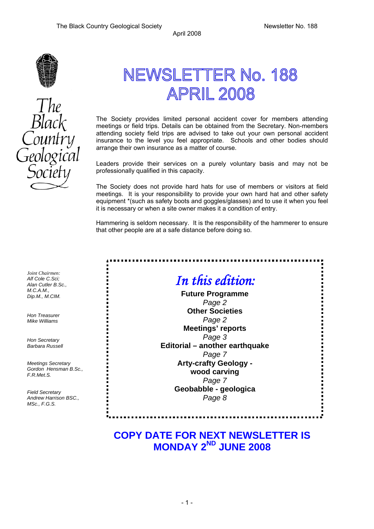

# NEWSLETTER No. 188 **APRIL 2008**

The Society provides limited personal accident cover for members attending meetings or field trips. Details can be obtained from the Secretary. Non-members attending society field trips are advised to take out your own personal accident insurance to the level you feel appropriate. Schools and other bodies should arrange their own insurance as a matter of course.

Leaders provide their services on a purely voluntary basis and may not be professionally qualified in this capacity.

The Society does not provide hard hats for use of members or visitors at field meetings. It is your responsibility to provide your own hard hat and other safety equipment \*(such as safety boots and goggles/glasses) and to use it when you feel it is necessary or when a site owner makes it a condition of entry.

Hammering is seldom necessary. It is the responsibility of the hammerer to ensure that other people are at a safe distance before doing so.

*Joint Chairmen: Alf Cole C.Sci; Alan Cutler B.Sc., M.C.A.M., Dip.M., M.CIM.* 

*Hon Treasurer Mike Williams* 

*Hon Secretary Barbara Russell* 

*Meetings Secretary Gordon Hensman B.Sc., F.R.Met.S.* 

*Field Secretary Andrew Harrison BSC., MSc., F.G.S.* 

*In this edition:* 

**Future Programme**  *Page 2*  **Other Societies** *Page 2*  **Meetings' reports**  *Page 3*  **Editorial – another earthquake**  *Page 7*  **Arty-crafty Geology wood carving**  *Page 7*  **Geobabble - geologica**  *Page 8* 

# **COPY DATE FOR NEXT NEWSLETTER IS MONDAY 2ND JUNE 2008**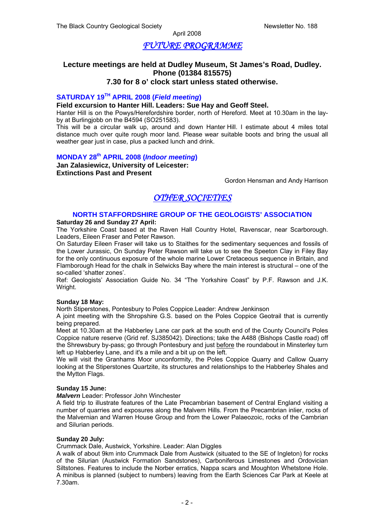## *FUTURE PROGRAMME*

# **Lecture meetings are held at Dudley Museum, St James's Road, Dudley. Phone (01384 815575)**

#### **7.30 for 8 o' clock start unless stated otherwise.**

#### **SATURDAY 19TH APRIL 2008 (***Field meeting***)**

#### **Field excursion to Hanter Hill. Leaders: Sue Hay and Geoff Steel.**

Hanter Hill is on the Powys/Herefordshire border, north of Hereford. Meet at 10.30am in the layby at Burlingjobb on the B4594 (SO251583).

This will be a circular walk up, around and down Hanter Hill. I estimate about 4 miles total distance much over quite rough moor land. Please wear suitable boots and bring the usual all weather gear just in case, plus a packed lunch and drink.

## **MONDAY 28th APRIL 2008 (***Indoor meeting***)**

**Jan Zalasiewicz, University of Leicester: Extinctions Past and Present**

Gordon Hensman and Andy Harrison

# *OTHER SOCIETIES*

#### **NORTH STAFFORDSHIRE GROUP OF THE GEOLOGISTS' ASSOCIATION**

#### **Saturday 26 and Sunday 27 April:**

The Yorkshire Coast based at the Raven Hall Country Hotel, Ravenscar, near Scarborough. Leaders, Eileen Fraser and Peter Rawson.

On Saturday Eileen Fraser will take us to Staithes for the sedimentary sequences and fossils of the Lower Jurassic, On Sunday Peter Rawson will take us to see the Speeton Clay in Filey Bay for the only continuous exposure of the whole marine Lower Cretaceous sequence in Britain, and Flamborough Head for the chalk in Selwicks Bay where the main interest is structural – one of the so-called 'shatter zones'.

Ref: Geologists' Association Guide No. 34 "The Yorkshire Coast" by P.F. Rawson and J.K. Wright.

#### **Sunday 18 May:**

North Stiperstones, Pontesbury to Poles Coppice.Leader: Andrew Jenkinson

A joint meeting with the Shropshire G.S. based on the Poles Coppice Geotrail that is currently being prepared.

Meet at 10.30am at the Habberley Lane car park at the south end of the County Council's Poles Coppice nature reserve (Grid ref. SJ385042). Directions; take the A488 (Bishops Castle road) off the Shrewsbury by-pass; go through Pontesbury and just before the roundabout in Minsterley turn left up Habberley Lane, and it's a mile and a bit up on the left.

We will visit the Granhams Moor unconformity, the Poles Coppice Quarry and Callow Quarry looking at the Stiperstones Quartzite, its structures and relationships to the Habberley Shales and the Mytton Flags.

#### **Sunday 15 June:**

#### *Malvern* Leader: Professor John Winchester

A field trip to illustrate features of the Late Precambrian basement of Central England visiting a number of quarries and exposures along the Malvern Hills. From the Precambrian inlier, rocks of the Malvernian and Warren House Group and from the Lower Palaeozoic, rocks of the Cambrian and Silurian periods.

#### **Sunday 20 July:**

Crummack Dale, Austwick, Yorkshire. Leader: Alan Diggles

A walk of about 9km into Crummack Dale from Austwick (situated to the SE of Ingleton) for rocks of the Silurian (Austwick Formation Sandstones), Carboniferous Limestones and Ordovician Siltstones. Features to include the Norber erratics, Nappa scars and Moughton Whetstone Hole. A minibus is planned (subject to numbers) leaving from the Earth Sciences Car Park at Keele at 7.30am.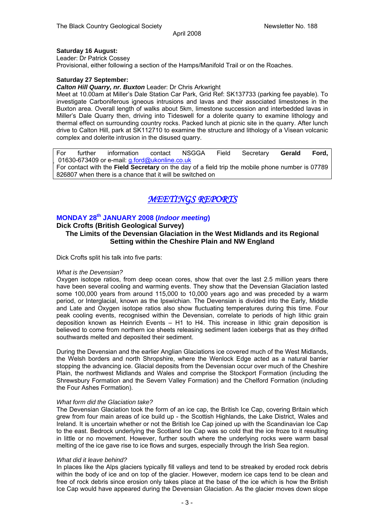#### **Saturday 16 August:**

Leader: Dr Patrick Cossey Provisional, either following a section of the Hamps/Manifold Trail or on the Roaches.

#### **Saturday 27 September:**

#### *Calton Hill Quarry, nr. Buxton* Leader: Dr Chris Arkwright

Meet at 10.00am at Miller's Dale Station Car Park, Grid Ref: SK137733 (parking fee payable). To investigate Carboniferous igneous intrusions and lavas and their associated limestones in the Buxton area. Overall length of walks about 5km, limestone succession and interbedded lavas in Miller's Dale Quarry then, driving into Tideswell for a dolerite quarry to examine lithology and thermal effect on surrounding country rocks. Packed lunch at picnic site in the quarry. After lunch drive to Calton Hill, park at SK112710 to examine the structure and lithology of a Visean volcanic complex and dolerite intrusion in the disused quarry.

For further information contact NSGGA Field Secretary **Gerald Ford,**  01630-673409 or e-mail: g.ford@ukonline.co.uk For contact with the **Field Secretary** on the day of a field trip the mobile phone number is 07789 826807 when there is a chance that it will be switched on

# *MEETINGS REPORTS*

#### **MONDAY 28th JANUARY 2008 (***Indoor meeting***)**

#### **Dick Crofts (British Geological Survey)**

#### **The Limits of the Devensian Glaciation in the West Midlands and its Regional Setting within the Cheshire Plain and NW England**

Dick Crofts split his talk into five parts:

#### *What is the Devensian?*

Oxygen isotope ratios, from deep ocean cores, show that over the last 2.5 million years there have been several cooling and warming events. They show that the Devensian Glaciation lasted some 100,000 years from around 115,000 to 10,000 years ago and was preceded by a warm period, or Interglacial, known as the Ipswichian. The Devensian is divided into the Early, Middle and Late and Oxygen isotope ratios also show fluctuating temperatures during this time. Four peak cooling events, recognised within the Devensian, correlate to periods of high lithic grain deposition known as Heinrich Events – H1 to H4. This increase in lithic grain deposition is believed to come from northern ice sheets releasing sediment laden icebergs that as they drifted southwards melted and deposited their sediment.

During the Devensian and the earlier Anglian Glaciations ice covered much of the West Midlands, the Welsh borders and north Shropshire, where the Wenlock Edge acted as a natural barrier stopping the advancing ice. Glacial deposits from the Devensian occur over much of the Cheshire Plain, the northwest Midlands and Wales and comprise the Stockport Formation (including the Shrewsbury Formation and the Severn Valley Formation) and the Chelford Formation (including the Four Ashes Formation).

#### *What form did the Glaciation take?*

The Devensian Glaciation took the form of an ice cap, the British Ice Cap, covering Britain which grew from four main areas of ice build up - the Scottish Highlands, the Lake District, Wales and Ireland. It is uncertain whether or not the British Ice Cap joined up with the Scandinavian Ice Cap to the east. Bedrock underlying the Scotland Ice Cap was so cold that the ice froze to it resulting in little or no movement. However, further south where the underlying rocks were warm basal melting of the ice gave rise to ice flows and surges, especially through the Irish Sea region.

#### *What did it leave behind?*

In places like the Alps glaciers typically fill valleys and tend to be streaked by eroded rock debris within the body of ice and on top of the glacier. However, modern ice caps tend to be clean and free of rock debris since erosion only takes place at the base of the ice which is how the British Ice Cap would have appeared during the Devensian Glaciation. As the glacier moves down slope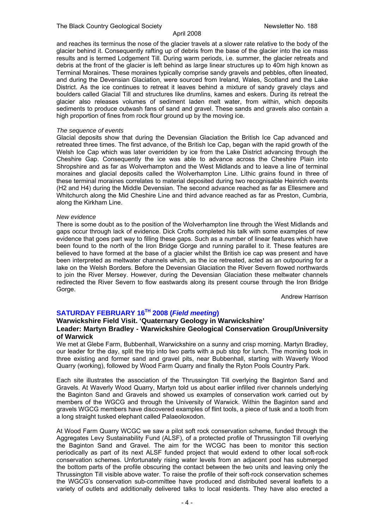and reaches its terminus the nose of the glacier travels at a slower rate relative to the body of the glacier behind it. Consequently rafting up of debris from the base of the glacier into the ice mass results and is termed Lodgement Till. During warm periods, i.e. summer, the glacier retreats and debris at the front of the glacier is left behind as large linear structures up to 40m high known as Terminal Moraines. These moraines typically comprise sandy gravels and pebbles, often lineated, and during the Devensian Glaciation, were sourced from Ireland, Wales, Scotland and the Lake District. As the ice continues to retreat it leaves behind a mixture of sandy gravely clays and boulders called Glacial Till and structures like drumlins, kames and eskers. During its retreat the glacier also releases volumes of sediment laden melt water, from within, which deposits sediments to produce outwash fans of sand and gravel. These sands and gravels also contain a high proportion of fines from rock flour ground up by the moving ice.

#### *The sequence of events*

Glacial deposits show that during the Devensian Glaciation the British Ice Cap advanced and retreated three times. The first advance, of the British Ice Cap, began with the rapid growth of the Welsh Ice Cap which was later overridden by ice from the Lake District advancing through the Cheshire Gap. Consequently the ice was able to advance across the Cheshire Plain into Shropshire and as far as Wolverhampton and the West Midlands and to leave a line of terminal moraines and glacial deposits called the Wolverhampton Line. Lithic grains found in three of these terminal moraines correlates to material deposited during two recognisable Heinrich events (H2 and H4) during the Middle Devensian. The second advance reached as far as Ellesmere and Whitchurch along the Mid Cheshire Line and third advance reached as far as Preston, Cumbria, along the Kirkham Line.

#### *New evidence*

There is some doubt as to the position of the Wolverhampton line through the West Midlands and gaps occur through lack of evidence. Dick Crofts completed his talk with some examples of new evidence that goes part way to filling these gaps. Such as a number of linear features which have been found to the north of the Iron Bridge Gorge and running parallel to it. These features are believed to have formed at the base of a glacier whilst the British ice cap was present and have been interpreted as meltwater channels which, as the ice retreated, acted as an outpouring for a lake on the Welsh Borders. Before the Devensian Glaciation the River Severn flowed northwards to join the River Mersey. However, during the Devensian Glaciation these meltwater channels redirected the River Severn to flow eastwards along its present course through the Iron Bridge Gorge.

Andrew Harrison

#### **SATURDAY FEBRUARY 16TH 2008 (***Field meeting***)**

#### **Warwickshire Field Visit. 'Quaternary Geology in Warwickshire' Leader: Martyn Bradley - Warwickshire Geological Conservation Group/University of Warwick**

We met at Glebe Farm, Bubbenhall, Warwickshire on a sunny and crisp morning. Martyn Bradley, our leader for the day, split the trip into two parts with a pub stop for lunch. The morning took in three existing and former sand and gravel pits, near Bubbenhall, starting with Waverly Wood Quarry (working), followed by Wood Farm Quarry and finally the Ryton Pools Country Park.

Each site illustrates the association of the Thrussington Till overlying the Baginton Sand and Gravels. At Waverly Wood Quarry, Martyn told us about earlier infilled river channels underlying the Baginton Sand and Gravels and showed us examples of conservation work carried out by members of the WGCG and through the University of Warwick. Within the Baginton sand and gravels WGCG members have discovered examples of flint tools, a piece of tusk and a tooth from a long straight tusked elephant called Palaeoloxodon.

At Wood Farm Quarry WCGC we saw a pilot soft rock conservation scheme, funded through the Aggregates Levy Sustainability Fund (ALSF), of a protected profile of Thrussington Till overlying the Baginton Sand and Gravel. The aim for the WCGC has been to monitor this section periodically as part of its next ALSF funded project that would extend to other local soft-rock conservation schemes. Unfortunately rising water levels from an adjacent pool has submerged the bottom parts of the profile obscuring the contact between the two units and leaving only the Thrussington Till visible above water. To raise the profile of their soft-rock conservation schemes the WGCG's conservation sub-committee have produced and distributed several leaflets to a variety of outlets and additionally delivered talks to local residents. They have also erected a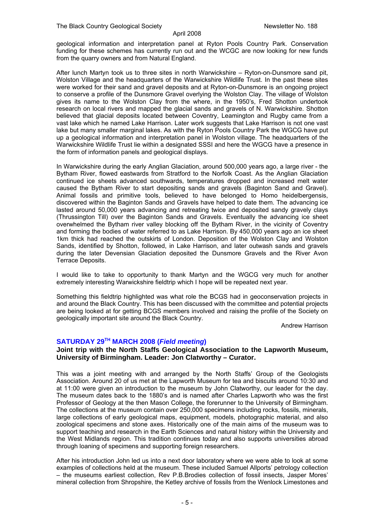geological information and interpretation panel at Ryton Pools Country Park. Conservation funding for these schemes has currently run out and the WCGC are now looking for new funds from the quarry owners and from Natural England.

After lunch Martyn took us to three sites in north Warwickshire – Ryton-on-Dunsmore sand pit, Wolston Village and the headquarters of the Warwickshire Wildlife Trust. In the past these sites were worked for their sand and gravel deposits and at Ryton-on-Dunsmore is an ongoing project to conserve a profile of the Dunsmore Gravel overlying the Wolston Clay. The village of Wolston gives its name to the Wolston Clay from the where, in the 1950's, Fred Shotton undertook research on local rivers and mapped the glacial sands and gravels of N. Warwickshire. Shotton believed that glacial deposits located between Coventry, Leamington and Rugby came from a vast lake which he named Lake Harrison. Later work suggests that Lake Harrison is not one vast lake but many smaller marginal lakes. As with the Ryton Pools Country Park the WGCG have put up a geological information and interpretation panel in Wolston village. The headquarters of the Warwickshire Wildlife Trust lie within a designated SSSI and here the WGCG have a presence in the form of information panels and geological displays.

In Warwickshire during the early Anglian Glaciation, around 500,000 years ago, a large river - the Bytham River, flowed eastwards from Stratford to the Norfolk Coast. As the Anglian Glaciation continued ice sheets advanced southwards, temperatures dropped and increased melt water caused the Bytham River to start depositing sands and gravels (Baginton Sand and Gravel). Animal fossils and primitive tools, believed to have belonged to Homo heidelbergensis, discovered within the Baginton Sands and Gravels have helped to date them. The advancing ice lasted around 50,000 years advancing and retreating twice and deposited sandy gravely clays (Thrussington Till) over the Baginton Sands and Gravels. Eventually the advancing ice sheet overwhelmed the Bytham river valley blocking off the Bytham River, in the vicinity of Coventry and forming the bodies of water referred to as Lake Harrison. By 450,000 years ago an ice sheet 1km thick had reached the outskirts of London. Deposition of the Wolston Clay and Wolston Sands, identified by Shotton, followed, in Lake Harrison, and later outwash sands and gravels during the later Devensian Glaciation deposited the Dunsmore Gravels and the River Avon Terrace Deposits.

I would like to take to opportunity to thank Martyn and the WGCG very much for another extremely interesting Warwickshire fieldtrip which I hope will be repeated next year.

Something this fieldtrip highlighted was what role the BCGS had in geoconservation projects in and around the Black Country. This has been discussed with the committee and potential projects are being looked at for getting BCGS members involved and raising the profile of the Society on geologically important site around the Black Country.

Andrew Harrison

#### **SATURDAY 29TH MARCH 2008 (***Field meeting***)**

#### **Joint trip with the North Staffs Geological Association to the Lapworth Museum, University of Birmingham. Leader: Jon Clatworthy – Curator.**

This was a joint meeting with and arranged by the North Staffs' Group of the Geologists Association. Around 20 of us met at the Lapworth Museum for tea and biscuits around 10:30 and at 11:00 were given an introduction to the museum by John Clatworthy, our leader for the day. The museum dates back to the 1880's and is named after Charles Lapworth who was the first Professor of Geology at the then Mason College, the forerunner to the University of Birmingham. The collections at the museum contain over 250,000 specimens including rocks, fossils, minerals, large collections of early geological maps, equipment, models, photographic material, and also zoological specimens and stone axes. Historically one of the main aims of the museum was to support teaching and research in the Earth Sciences and natural history within the University and the West Midlands region. This tradition continues today and also supports universities abroad through loaning of specimens and supporting foreign researchers.

After his introduction John led us into a next door laboratory where we were able to look at some examples of collections held at the museum. These included Samuel Allports' petrology collection – the museums earliest collection, Rev P.B.Brodies collection of fossil insects, Jasper Mores' mineral collection from Shropshire, the Ketley archive of fossils from the Wenlock Limestones and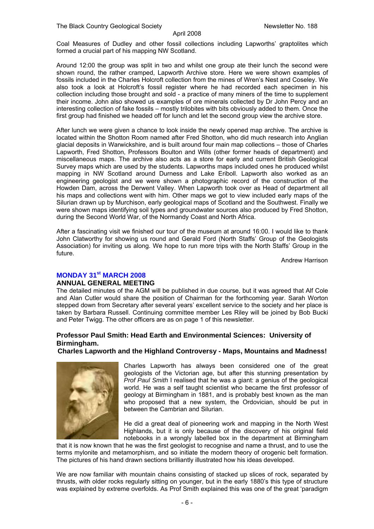Coal Measures of Dudley and other fossil collections including Lapworths' graptolites which formed a crucial part of his mapping NW Scotland.

Around 12:00 the group was split in two and whilst one group ate their lunch the second were shown round, the rather cramped, Lapworth Archive store. Here we were shown examples of fossils included in the Charles Holcroft collection from the mines of Wren's Nest and Coseley. We also took a look at Holcroft's fossil register where he had recorded each specimen in his collection including those brought and sold - a practice of many miners of the time to supplement their income. John also showed us examples of ore minerals collected by Dr John Percy and an interesting collection of fake fossils – mostly trilobites with bits obviously added to them. Once the first group had finished we headed off for lunch and let the second group view the archive store.

After lunch we were given a chance to look inside the newly opened map archive. The archive is located within the Shotton Room named after Fred Shotton, who did much research into Anglian glacial deposits in Warwickshire, and is built around four main map collections – those of Charles Lapworth, Fred Shotton, Professors Boulton and Wills (other former heads of department) and miscellaneous maps. The archive also acts as a store for early and current British Geological Survey maps which are used by the students. Lapworths maps included ones he produced whilst mapping in NW Scotland around Durness and Lake Eriboll. Lapworth also worked as an engineering geologist and we were shown a photographic record of the construction of the Howden Dam, across the Derwent Valley. When Lapworth took over as Head of department all his maps and collections went with him. Other maps we got to view included early maps of the Silurian drawn up by Murchison, early geological maps of Scotland and the Southwest. Finally we were shown maps identifying soil types and groundwater sources also produced by Fred Shotton, during the Second World War, of the Normandy Coast and North Africa.

After a fascinating visit we finished our tour of the museum at around 16:00. I would like to thank John Clatworthy for showing us round and Gerald Ford (North Staffs' Group of the Geologists Association) for inviting us along. We hope to run more trips with the North Staffs' Group in the future.

Andrew Harrison

#### **MONDAY 31st MARCH 2008**

#### **ANNUAL GENERAL MEETING**

The detailed minutes of the AGM will be published in due course, but it was agreed that Alf Cole and Alan Cutler would share the position of Chairman for the forthcoming year. Sarah Worton stepped down from Secretary after several years' excellent service to the society and her place is taken by Barbara Russell. Continuing committee member Les Riley will be joined by Bob Bucki and Peter Twigg. The other officers are as on page 1 of this newsletter.

#### **Professor Paul Smith: Head Earth and Environmental Sciences: University of Birmingham.**

**Charles Lapworth and the Highland Controversy - Maps, Mountains and Madness!** 



Charles Lapworth has always been considered one of the great geologists of the Victorian age, but after this stunning presentation by *Prof Paul Smith* I realised that he was a giant: a genius of the geological world. He was a self taught scientist who became the first professor of geology at Birmingham in 1881, and is probably best known as the man who proposed that a new system, the Ordovician, should be put in between the Cambrian and Silurian.

He did a great deal of pioneering work and mapping in the North West Highlands, but it is only because of the discovery of his original field notebooks in a wrongly labelled box in the department at Birmingham

that it is now known that he was the first geologist to recognise and name a thrust, and to use the terms mylonite and metamorphism, and so initiate the modern theory of orogenic belt formation. The pictures of his hand drawn sections brilliantly illustrated how his ideas developed.

We are now familiar with mountain chains consisting of stacked up slices of rock, separated by thrusts, with older rocks regularly sitting on younger, but in the early 1880's this type of structure was explained by extreme overfolds. As Prof Smith explained this was one of the great 'paradigm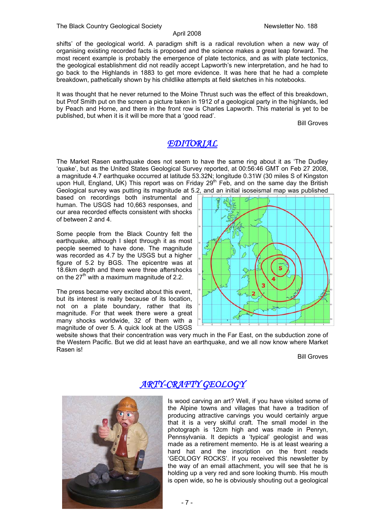shifts' of the geological world. A paradigm shift is a radical revolution when a new way of organising existing recorded facts is proposed and the science makes a great leap forward. The most recent example is probably the emergence of plate tectonics, and as with plate tectonics, the geological establishment did not readily accept Lapworth's new interpretation, and he had to go back to the Highlands in 1883 to get more evidence. It was here that he had a complete breakdown, pathetically shown by his childlike attempts at field sketches in his notebooks.

It was thought that he never returned to the Moine Thrust such was the effect of this breakdown, but Prof Smith put on the screen a picture taken in 1912 of a geological party in the highlands, led by Peach and Horne, and there in the front row is Charles Lapworth. This material is yet to be published, but when it is it will be more that a 'good read'.

Bill Groves

# *EDITORIAL*

The Market Rasen earthquake does not seem to have the same ring about it as 'The Dudley 'quake', but as the United States Geological Survey reported, at 00:56:46 GMT on Feb 27 2008, a magnitude 4.7 earthquake occurred at latitude 53.32N; longitude 0.31W (30 miles S of Kingston upon Hull, England, UK) This report was on Friday 29<sup>th</sup> Feb, and on the same day the British Geological survey was putting its magnitude at 5.2, and an initial isoseismal map was published

based on recordings both instrumental and human. The USGS had 10,663 responses, and our area recorded effects consistent with shocks of between 2 and 4.

Some people from the Black Country felt the earthquake, although I slept through it as most people seemed to have done. The magnitude was recorded as 4.7 by the USGS but a higher figure of 5.2 by BGS. The epicentre was at 18.6km depth and there were three aftershocks on the  $27<sup>th</sup>$  with a maximum magnitude of 2.2.

The press became very excited about this event, but its interest is really because of its location, not on a plate boundary, rather that its magnitude. For that week there were a great many shocks worldwide, 32 of them with a magnitude of over 5. A quick look at the USGS



website shows that their concentration was very much in the Far East, on the subduction zone of the Western Pacific. But we did at least have an earthquake, and we all now know where Market Rasen is!

Bill Groves



# *ARTY-CRAFTY GEOLOGY*

Is wood carving an art? Well, if you have visited some of the Alpine towns and villages that have a tradition of producing attractive carvings you would certainly argue that it is a very skilful craft. The small model in the photograph is 12cm high and was made in Penryn, Pennsylvania. It depicts a 'typical' geologist and was made as a retirement memento. He is at least wearing a hard hat and the inscription on the front reads 'GEOLOGY ROCKS'. If you received this newsletter by the way of an email attachment, you will see that he is holding up a very red and sore looking thumb. His mouth is open wide, so he is obviously shouting out a geological